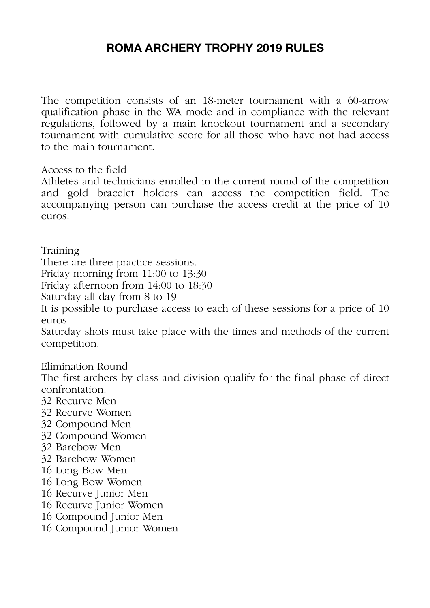## **ROMA ARCHERY TROPHY 2019 RULES**

The competition consists of an 18-meter tournament with a 60-arrow qualification phase in the WA mode and in compliance with the relevant regulations, followed by a main knockout tournament and a secondary tournament with cumulative score for all those who have not had access to the main tournament.

Access to the field

Athletes and technicians enrolled in the current round of the competition and gold bracelet holders can access the competition field. The accompanying person can purchase the access credit at the price of 10 euros.

Training

There are three practice sessions.

Friday morning from 11:00 to 13:30

Friday afternoon from 14:00 to 18:30

Saturday all day from 8 to 19

It is possible to purchase access to each of these sessions for a price of 10 euros.

Saturday shots must take place with the times and methods of the current competition.

Elimination Round

The first archers by class and division qualify for the final phase of direct confrontation.

- 32 Recurve Men
- 32 Recurve Women
- 32 Compound Men
- 32 Compound Women
- 32 Barebow Men
- 32 Barebow Women
- 16 Long Bow Men
- 16 Long Bow Women
- 16 Recurve Junior Men
- 16 Recurve Junior Women
- 16 Compound Junior Men
- 16 Compound Junior Women